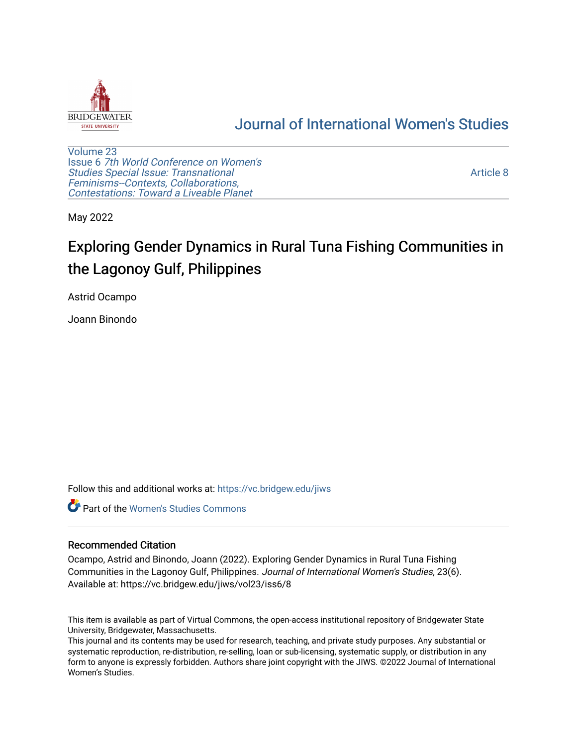

# [Journal of International Women's Studies](https://vc.bridgew.edu/jiws)

[Volume 23](https://vc.bridgew.edu/jiws/vol23) Issue 6 [7th World Conference on Women's](https://vc.bridgew.edu/jiws/vol23/iss6)  [Studies Special Issue: Transnational](https://vc.bridgew.edu/jiws/vol23/iss6)  [Feminisms--Contexts, Collaborations,](https://vc.bridgew.edu/jiws/vol23/iss6)  [Contestations: Toward a Liveable Planet](https://vc.bridgew.edu/jiws/vol23/iss6) 

[Article 8](https://vc.bridgew.edu/jiws/vol23/iss6/8) 

May 2022

# Exploring Gender Dynamics in Rural Tuna Fishing Communities in the Lagonoy Gulf, Philippines

Astrid Ocampo

Joann Binondo

Follow this and additional works at: [https://vc.bridgew.edu/jiws](https://vc.bridgew.edu/jiws?utm_source=vc.bridgew.edu%2Fjiws%2Fvol23%2Fiss6%2F8&utm_medium=PDF&utm_campaign=PDFCoverPages)

**C** Part of the Women's Studies Commons

#### Recommended Citation

Ocampo, Astrid and Binondo, Joann (2022). Exploring Gender Dynamics in Rural Tuna Fishing Communities in the Lagonoy Gulf, Philippines. Journal of International Women's Studies, 23(6). Available at: https://vc.bridgew.edu/jiws/vol23/iss6/8

This item is available as part of Virtual Commons, the open-access institutional repository of Bridgewater State University, Bridgewater, Massachusetts.

This journal and its contents may be used for research, teaching, and private study purposes. Any substantial or systematic reproduction, re-distribution, re-selling, loan or sub-licensing, systematic supply, or distribution in any form to anyone is expressly forbidden. Authors share joint copyright with the JIWS. ©2022 Journal of International Women's Studies.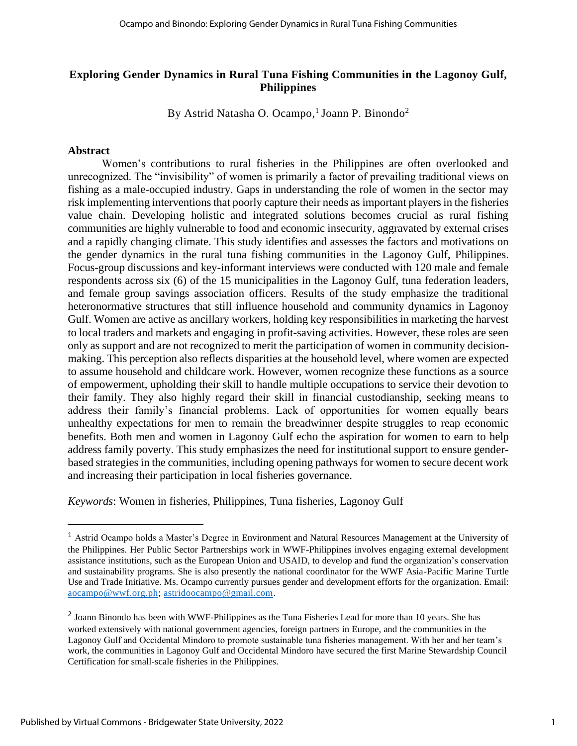# **Exploring Gender Dynamics in Rural Tuna Fishing Communities in the Lagonoy Gulf, Philippines**

By Astrid Natasha O. Ocampo,<sup>1</sup> Joann P. Binondo<sup>2</sup>

# **Abstract**

Women's contributions to rural fisheries in the Philippines are often overlooked and unrecognized. The "invisibility" of women is primarily a factor of prevailing traditional views on fishing as a male-occupied industry. Gaps in understanding the role of women in the sector may risk implementing interventions that poorly capture their needs as important players in the fisheries value chain. Developing holistic and integrated solutions becomes crucial as rural fishing communities are highly vulnerable to food and economic insecurity, aggravated by external crises and a rapidly changing climate. This study identifies and assesses the factors and motivations on the gender dynamics in the rural tuna fishing communities in the Lagonoy Gulf, Philippines. Focus-group discussions and key-informant interviews were conducted with 120 male and female respondents across six (6) of the 15 municipalities in the Lagonoy Gulf, tuna federation leaders, and female group savings association officers. Results of the study emphasize the traditional heteronormative structures that still influence household and community dynamics in Lagonoy Gulf. Women are active as ancillary workers, holding key responsibilities in marketing the harvest to local traders and markets and engaging in profit-saving activities. However, these roles are seen only as support and are not recognized to merit the participation of women in community decisionmaking. This perception also reflects disparities at the household level, where women are expected to assume household and childcare work. However, women recognize these functions as a source of empowerment, upholding their skill to handle multiple occupations to service their devotion to their family. They also highly regard their skill in financial custodianship, seeking means to address their family's financial problems. Lack of opportunities for women equally bears unhealthy expectations for men to remain the breadwinner despite struggles to reap economic benefits. Both men and women in Lagonoy Gulf echo the aspiration for women to earn to help address family poverty. This study emphasizes the need for institutional support to ensure genderbased strategies in the communities, including opening pathways for women to secure decent work and increasing their participation in local fisheries governance.

*Keywords*: Women in fisheries, Philippines, Tuna fisheries, Lagonoy Gulf

<sup>1</sup> Astrid Ocampo holds a Master's Degree in Environment and Natural Resources Management at the University of the Philippines. Her Public Sector Partnerships work in WWF-Philippines involves engaging external development assistance institutions, such as the European Union and USAID, to develop and fund the organization's conservation and sustainability programs. She is also presently the national coordinator for the WWF Asia-Pacific Marine Turtle Use and Trade Initiative. Ms. Ocampo currently pursues gender and development efforts for the organization. Email: [aocampo@wwf.org.ph;](mailto:aocampo@wwf.org.ph) [astridoocampo@gmail.com.](mailto:astridoocampo@gmail.com)

<sup>&</sup>lt;sup>2</sup> Joann Binondo has been with WWF-Philippines as the Tuna Fisheries Lead for more than 10 years. She has worked extensively with national government agencies, foreign partners in Europe, and the communities in the Lagonoy Gulf and Occidental Mindoro to promote sustainable tuna fisheries management. With her and her team's work, the communities in Lagonoy Gulf and Occidental Mindoro have secured the first Marine Stewardship Council Certification for small-scale fisheries in the Philippines.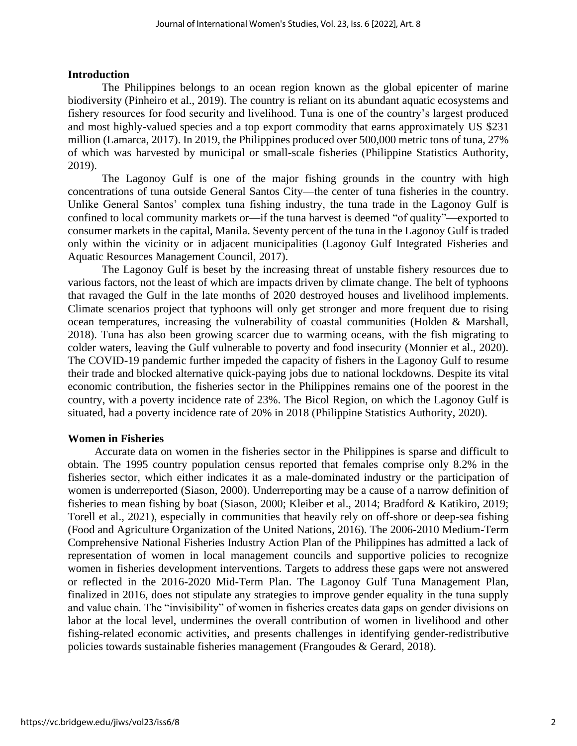#### **Introduction**

The Philippines belongs to an ocean region known as the global epicenter of marine biodiversity (Pinheiro et al., 2019). The country is reliant on its abundant aquatic ecosystems and fishery resources for food security and livelihood. Tuna is one of the country's largest produced and most highly-valued species and a top export commodity that earns approximately US \$231 million (Lamarca, 2017). In 2019, the Philippines produced over 500,000 metric tons of tuna, 27% of which was harvested by municipal or small-scale fisheries (Philippine Statistics Authority, 2019).

The Lagonoy Gulf is one of the major fishing grounds in the country with high concentrations of tuna outside General Santos City—the center of tuna fisheries in the country. Unlike General Santos' complex tuna fishing industry, the tuna trade in the Lagonoy Gulf is confined to local community markets or—if the tuna harvest is deemed "of quality"—exported to consumer markets in the capital, Manila. Seventy percent of the tuna in the Lagonoy Gulf is traded only within the vicinity or in adjacent municipalities (Lagonoy Gulf Integrated Fisheries and Aquatic Resources Management Council, 2017).

The Lagonoy Gulf is beset by the increasing threat of unstable fishery resources due to various factors, not the least of which are impacts driven by climate change. The belt of typhoons that ravaged the Gulf in the late months of 2020 destroyed houses and livelihood implements. Climate scenarios project that typhoons will only get stronger and more frequent due to rising ocean temperatures, increasing the vulnerability of coastal communities (Holden & Marshall, 2018). Tuna has also been growing scarcer due to warming oceans, with the fish migrating to colder waters, leaving the Gulf vulnerable to poverty and food insecurity (Monnier et al., 2020). The COVID-19 pandemic further impeded the capacity of fishers in the Lagonoy Gulf to resume their trade and blocked alternative quick-paying jobs due to national lockdowns. Despite its vital economic contribution, the fisheries sector in the Philippines remains one of the poorest in the country, with a poverty incidence rate of 23%. The Bicol Region, on which the Lagonoy Gulf is situated, had a poverty incidence rate of 20% in 2018 (Philippine Statistics Authority, 2020).

#### **Women in Fisheries**

Accurate data on women in the fisheries sector in the Philippines is sparse and difficult to obtain. The 1995 country population census reported that females comprise only 8.2% in the fisheries sector, which either indicates it as a male-dominated industry or the participation of women is underreported (Siason, 2000). Underreporting may be a cause of a narrow definition of fisheries to mean fishing by boat (Siason, 2000; Kleiber et al., 2014; Bradford & Katikiro, 2019; Torell et al., 2021), especially in communities that heavily rely on off-shore or deep-sea fishing (Food and Agriculture Organization of the United Nations, 2016). The 2006-2010 Medium-Term Comprehensive National Fisheries Industry Action Plan of the Philippines has admitted a lack of representation of women in local management councils and supportive policies to recognize women in fisheries development interventions. Targets to address these gaps were not answered or reflected in the 2016-2020 Mid-Term Plan. The Lagonoy Gulf Tuna Management Plan, finalized in 2016, does not stipulate any strategies to improve gender equality in the tuna supply and value chain. The "invisibility" of women in fisheries creates data gaps on gender divisions on labor at the local level, undermines the overall contribution of women in livelihood and other fishing-related economic activities, and presents challenges in identifying gender-redistributive policies towards sustainable fisheries management (Frangoudes & Gerard, 2018).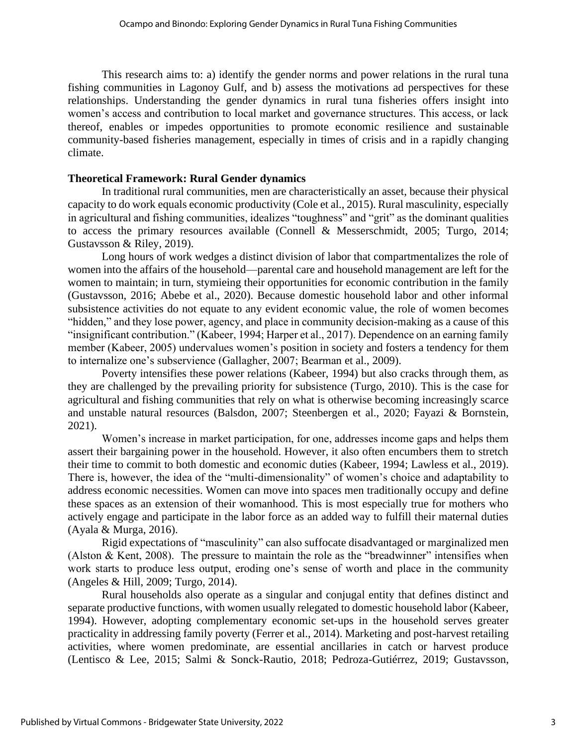This research aims to: a) identify the gender norms and power relations in the rural tuna fishing communities in Lagonoy Gulf, and b) assess the motivations ad perspectives for these relationships. Understanding the gender dynamics in rural tuna fisheries offers insight into women's access and contribution to local market and governance structures. This access, or lack thereof, enables or impedes opportunities to promote economic resilience and sustainable community-based fisheries management, especially in times of crisis and in a rapidly changing climate.

# **Theoretical Framework: Rural Gender dynamics**

In traditional rural communities, men are characteristically an asset, because their physical capacity to do work equals economic productivity (Cole et al., 2015). Rural masculinity, especially in agricultural and fishing communities, idealizes "toughness" and "grit" as the dominant qualities to access the primary resources available (Connell & Messerschmidt, 2005; Turgo, 2014; Gustavsson & Riley, 2019).

Long hours of work wedges a distinct division of labor that compartmentalizes the role of women into the affairs of the household—parental care and household management are left for the women to maintain; in turn, stymieing their opportunities for economic contribution in the family (Gustavsson, 2016; Abebe et al., 2020). Because domestic household labor and other informal subsistence activities do not equate to any evident economic value, the role of women becomes "hidden," and they lose power, agency, and place in community decision-making as a cause of this "insignificant contribution." (Kabeer, 1994; Harper et al., 2017). Dependence on an earning family member (Kabeer, 2005) undervalues women's position in society and fosters a tendency for them to internalize one's subservience (Gallagher, 2007; Bearman et al., 2009).

Poverty intensifies these power relations (Kabeer, 1994) but also cracks through them, as they are challenged by the prevailing priority for subsistence (Turgo, 2010). This is the case for agricultural and fishing communities that rely on what is otherwise becoming increasingly scarce and unstable natural resources (Balsdon, 2007; Steenbergen et al., 2020; Fayazi & Bornstein, 2021).

Women's increase in market participation, for one, addresses income gaps and helps them assert their bargaining power in the household. However, it also often encumbers them to stretch their time to commit to both domestic and economic duties (Kabeer, 1994; Lawless et al., 2019). There is, however, the idea of the "multi-dimensionality" of women's choice and adaptability to address economic necessities. Women can move into spaces men traditionally occupy and define these spaces as an extension of their womanhood. This is most especially true for mothers who actively engage and participate in the labor force as an added way to fulfill their maternal duties (Ayala & Murga, 2016).

Rigid expectations of "masculinity" can also suffocate disadvantaged or marginalized men (Alston & Kent, 2008). The pressure to maintain the role as the "breadwinner" intensifies when work starts to produce less output, eroding one's sense of worth and place in the community (Angeles & Hill, 2009; Turgo, 2014).

Rural households also operate as a singular and conjugal entity that defines distinct and separate productive functions, with women usually relegated to domestic household labor (Kabeer, 1994). However, adopting complementary economic set-ups in the household serves greater practicality in addressing family poverty (Ferrer et al., 2014). Marketing and post-harvest retailing activities, where women predominate, are essential ancillaries in catch or harvest produce (Lentisco & Lee, 2015; Salmi & Sonck-Rautio, 2018; Pedroza-Gutiérrez, 2019; Gustavsson,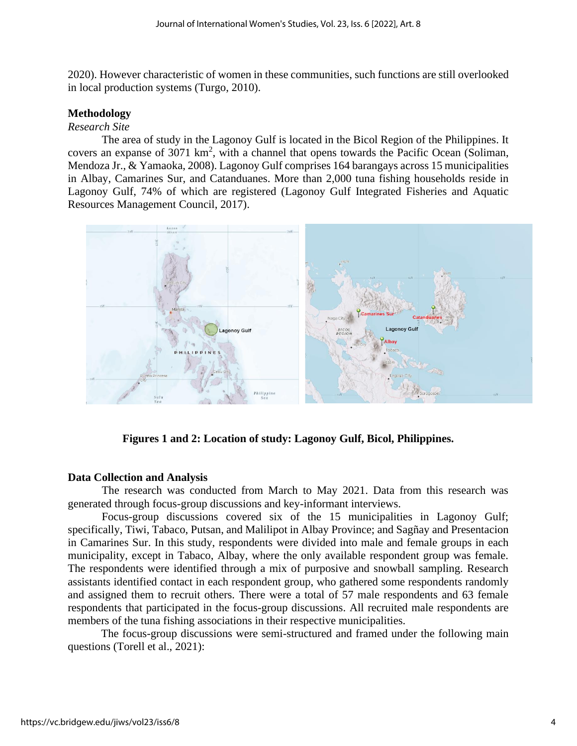2020). However characteristic of women in these communities, such functions are still overlooked in local production systems (Turgo, 2010).

### **Methodology**

#### *Research Site*

The area of study in the Lagonoy Gulf is located in the Bicol Region of the Philippines. It covers an expanse of 3071  $km^2$ , with a channel that opens towards the Pacific Ocean (Soliman, Mendoza Jr., & Yamaoka, 2008). Lagonoy Gulf comprises 164 barangays across 15 municipalities in Albay, Camarines Sur, and Catanduanes. More than 2,000 tuna fishing households reside in Lagonoy Gulf, 74% of which are registered (Lagonoy Gulf Integrated Fisheries and Aquatic Resources Management Council, 2017).



**Figures 1 and 2: Location of study: Lagonoy Gulf, Bicol, Philippines.**

# **Data Collection and Analysis**

The research was conducted from March to May 2021. Data from this research was generated through focus-group discussions and key-informant interviews.

Focus-group discussions covered six of the 15 municipalities in Lagonoy Gulf; specifically, Tiwi, Tabaco, Putsan, and Malilipot in Albay Province; and Sagñay and Presentacion in Camarines Sur. In this study, respondents were divided into male and female groups in each municipality, except in Tabaco, Albay, where the only available respondent group was female. The respondents were identified through a mix of purposive and snowball sampling. Research assistants identified contact in each respondent group, who gathered some respondents randomly and assigned them to recruit others. There were a total of 57 male respondents and 63 female respondents that participated in the focus-group discussions. All recruited male respondents are members of the tuna fishing associations in their respective municipalities.

The focus-group discussions were semi-structured and framed under the following main questions (Torell et al., 2021):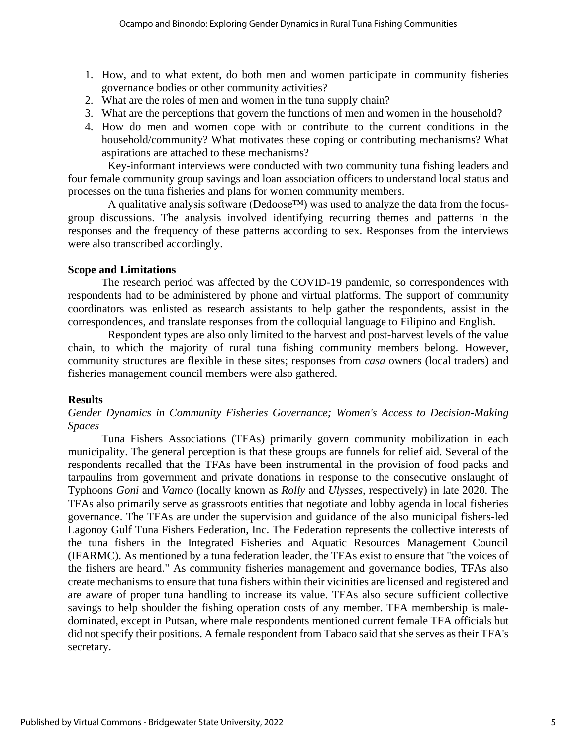- 1. How, and to what extent, do both men and women participate in community fisheries governance bodies or other community activities?
- 2. What are the roles of men and women in the tuna supply chain?
- 3. What are the perceptions that govern the functions of men and women in the household?
- 4. How do men and women cope with or contribute to the current conditions in the household/community? What motivates these coping or contributing mechanisms? What aspirations are attached to these mechanisms?

Key-informant interviews were conducted with two community tuna fishing leaders and four female community group savings and loan association officers to understand local status and processes on the tuna fisheries and plans for women community members.

A qualitative analysis software (Dedoose™) was used to analyze the data from the focusgroup discussions. The analysis involved identifying recurring themes and patterns in the responses and the frequency of these patterns according to sex. Responses from the interviews were also transcribed accordingly.

## **Scope and Limitations**

The research period was affected by the COVID-19 pandemic, so correspondences with respondents had to be administered by phone and virtual platforms. The support of community coordinators was enlisted as research assistants to help gather the respondents, assist in the correspondences, and translate responses from the colloquial language to Filipino and English.

Respondent types are also only limited to the harvest and post-harvest levels of the value chain, to which the majority of rural tuna fishing community members belong. However, community structures are flexible in these sites; responses from *casa* owners (local traders) and fisheries management council members were also gathered.

# **Results**

# *Gender Dynamics in Community Fisheries Governance; Women's Access to Decision-Making Spaces*

Tuna Fishers Associations (TFAs) primarily govern community mobilization in each municipality. The general perception is that these groups are funnels for relief aid. Several of the respondents recalled that the TFAs have been instrumental in the provision of food packs and tarpaulins from government and private donations in response to the consecutive onslaught of Typhoons *Goni* and *Vamco* (locally known as *Rolly* and *Ulysses*, respectively) in late 2020. The TFAs also primarily serve as grassroots entities that negotiate and lobby agenda in local fisheries governance. The TFAs are under the supervision and guidance of the also municipal fishers-led Lagonoy Gulf Tuna Fishers Federation, Inc. The Federation represents the collective interests of the tuna fishers in the Integrated Fisheries and Aquatic Resources Management Council (IFARMC). As mentioned by a tuna federation leader, the TFAs exist to ensure that "the voices of the fishers are heard." As community fisheries management and governance bodies, TFAs also create mechanisms to ensure that tuna fishers within their vicinities are licensed and registered and are aware of proper tuna handling to increase its value. TFAs also secure sufficient collective savings to help shoulder the fishing operation costs of any member. TFA membership is maledominated, except in Putsan, where male respondents mentioned current female TFA officials but did not specify their positions. A female respondent from Tabaco said that she serves as their TFA's secretary.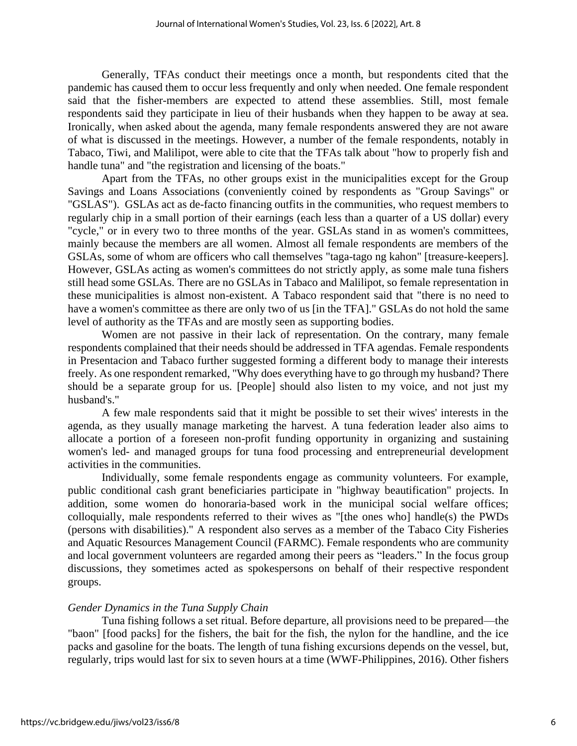Generally, TFAs conduct their meetings once a month, but respondents cited that the pandemic has caused them to occur less frequently and only when needed. One female respondent said that the fisher-members are expected to attend these assemblies. Still, most female respondents said they participate in lieu of their husbands when they happen to be away at sea. Ironically, when asked about the agenda, many female respondents answered they are not aware of what is discussed in the meetings. However, a number of the female respondents, notably in Tabaco, Tiwi, and Malilipot, were able to cite that the TFAs talk about "how to properly fish and handle tuna" and "the registration and licensing of the boats."

Apart from the TFAs, no other groups exist in the municipalities except for the Group Savings and Loans Associations (conveniently coined by respondents as "Group Savings" or "GSLAS"). GSLAs act as de-facto financing outfits in the communities, who request members to regularly chip in a small portion of their earnings (each less than a quarter of a US dollar) every "cycle," or in every two to three months of the year. GSLAs stand in as women's committees, mainly because the members are all women. Almost all female respondents are members of the GSLAs, some of whom are officers who call themselves "taga-tago ng kahon" [treasure-keepers]. However, GSLAs acting as women's committees do not strictly apply, as some male tuna fishers still head some GSLAs. There are no GSLAs in Tabaco and Malilipot, so female representation in these municipalities is almost non-existent. A Tabaco respondent said that "there is no need to have a women's committee as there are only two of us [in the TFA]." GSLAs do not hold the same level of authority as the TFAs and are mostly seen as supporting bodies.

Women are not passive in their lack of representation. On the contrary, many female respondents complained that their needs should be addressed in TFA agendas. Female respondents in Presentacion and Tabaco further suggested forming a different body to manage their interests freely. As one respondent remarked, "Why does everything have to go through my husband? There should be a separate group for us. [People] should also listen to my voice, and not just my husband's."

A few male respondents said that it might be possible to set their wives' interests in the agenda, as they usually manage marketing the harvest. A tuna federation leader also aims to allocate a portion of a foreseen non-profit funding opportunity in organizing and sustaining women's led- and managed groups for tuna food processing and entrepreneurial development activities in the communities.

Individually, some female respondents engage as community volunteers. For example, public conditional cash grant beneficiaries participate in "highway beautification" projects. In addition, some women do honoraria-based work in the municipal social welfare offices; colloquially, male respondents referred to their wives as "[the ones who] handle(s) the PWDs (persons with disabilities)." A respondent also serves as a member of the Tabaco City Fisheries and Aquatic Resources Management Council (FARMC). Female respondents who are community and local government volunteers are regarded among their peers as "leaders." In the focus group discussions, they sometimes acted as spokespersons on behalf of their respective respondent groups.

# *Gender Dynamics in the Tuna Supply Chain*

Tuna fishing follows a set ritual. Before departure, all provisions need to be prepared—the "baon" [food packs] for the fishers, the bait for the fish, the nylon for the handline, and the ice packs and gasoline for the boats. The length of tuna fishing excursions depends on the vessel, but, regularly, trips would last for six to seven hours at a time (WWF-Philippines, 2016). Other fishers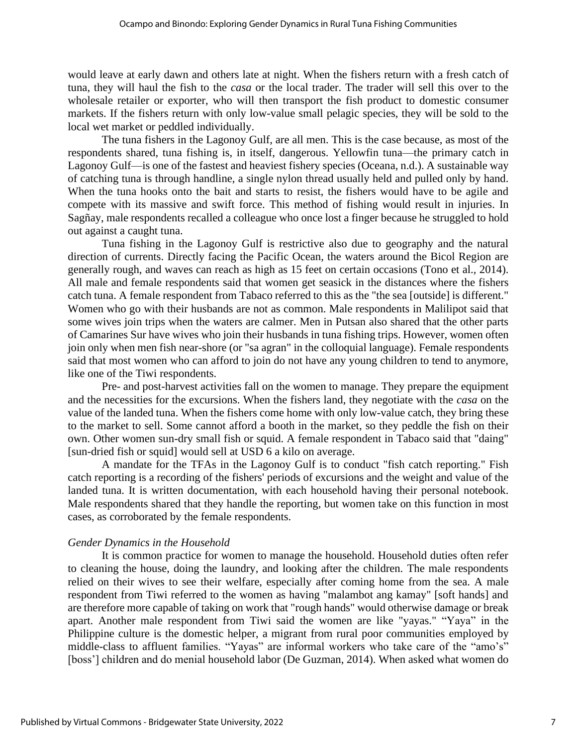would leave at early dawn and others late at night. When the fishers return with a fresh catch of tuna, they will haul the fish to the *casa* or the local trader. The trader will sell this over to the wholesale retailer or exporter, who will then transport the fish product to domestic consumer markets. If the fishers return with only low-value small pelagic species, they will be sold to the local wet market or peddled individually.

The tuna fishers in the Lagonoy Gulf, are all men. This is the case because, as most of the respondents shared, tuna fishing is, in itself, dangerous. Yellowfin tuna—the primary catch in Lagonoy Gulf—is one of the fastest and heaviest fishery species (Oceana, n.d.). A sustainable way of catching tuna is through handline, a single nylon thread usually held and pulled only by hand. When the tuna hooks onto the bait and starts to resist, the fishers would have to be agile and compete with its massive and swift force. This method of fishing would result in injuries. In Sagñay, male respondents recalled a colleague who once lost a finger because he struggled to hold out against a caught tuna.

Tuna fishing in the Lagonoy Gulf is restrictive also due to geography and the natural direction of currents. Directly facing the Pacific Ocean, the waters around the Bicol Region are generally rough, and waves can reach as high as 15 feet on certain occasions (Tono et al., 2014). All male and female respondents said that women get seasick in the distances where the fishers catch tuna. A female respondent from Tabaco referred to this as the "the sea [outside] is different." Women who go with their husbands are not as common. Male respondents in Malilipot said that some wives join trips when the waters are calmer. Men in Putsan also shared that the other parts of Camarines Sur have wives who join their husbands in tuna fishing trips. However, women often join only when men fish near-shore (or "sa agran" in the colloquial language). Female respondents said that most women who can afford to join do not have any young children to tend to anymore, like one of the Tiwi respondents.

Pre- and post-harvest activities fall on the women to manage. They prepare the equipment and the necessities for the excursions. When the fishers land, they negotiate with the *casa* on the value of the landed tuna. When the fishers come home with only low-value catch, they bring these to the market to sell. Some cannot afford a booth in the market, so they peddle the fish on their own. Other women sun-dry small fish or squid. A female respondent in Tabaco said that "daing" [sun-dried fish or squid] would sell at USD 6 a kilo on average.

A mandate for the TFAs in the Lagonoy Gulf is to conduct "fish catch reporting." Fish catch reporting is a recording of the fishers' periods of excursions and the weight and value of the landed tuna. It is written documentation, with each household having their personal notebook. Male respondents shared that they handle the reporting, but women take on this function in most cases, as corroborated by the female respondents.

#### *Gender Dynamics in the Household*

It is common practice for women to manage the household. Household duties often refer to cleaning the house, doing the laundry, and looking after the children. The male respondents relied on their wives to see their welfare, especially after coming home from the sea. A male respondent from Tiwi referred to the women as having "malambot ang kamay" [soft hands] and are therefore more capable of taking on work that "rough hands" would otherwise damage or break apart. Another male respondent from Tiwi said the women are like "yayas." "Yaya" in the Philippine culture is the domestic helper, a migrant from rural poor communities employed by middle-class to affluent families. "Yayas" are informal workers who take care of the "amo's" [boss'] children and do menial household labor (De Guzman, 2014). When asked what women do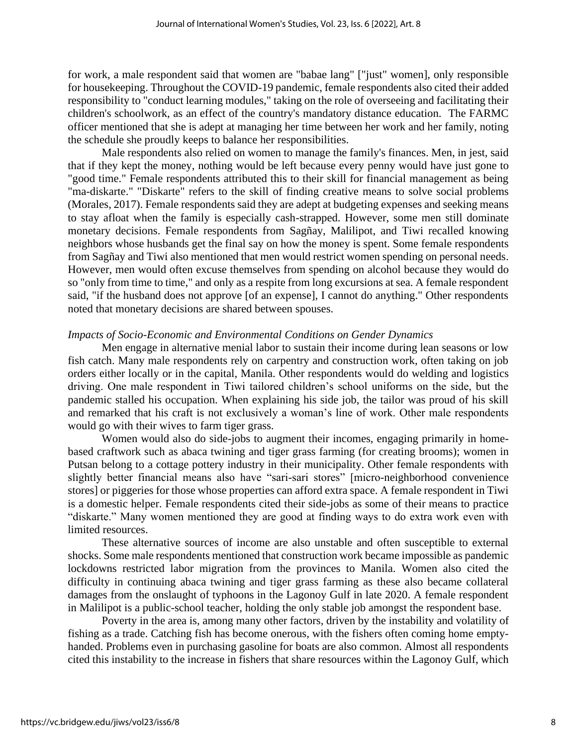for work, a male respondent said that women are "babae lang" ["just" women], only responsible for housekeeping. Throughout the COVID-19 pandemic, female respondents also cited their added responsibility to "conduct learning modules," taking on the role of overseeing and facilitating their children's schoolwork, as an effect of the country's mandatory distance education. The FARMC officer mentioned that she is adept at managing her time between her work and her family, noting the schedule she proudly keeps to balance her responsibilities.

Male respondents also relied on women to manage the family's finances. Men, in jest, said that if they kept the money, nothing would be left because every penny would have just gone to "good time." Female respondents attributed this to their skill for financial management as being "ma-diskarte." "Diskarte" refers to the skill of finding creative means to solve social problems (Morales, 2017). Female respondents said they are adept at budgeting expenses and seeking means to stay afloat when the family is especially cash-strapped. However, some men still dominate monetary decisions. Female respondents from Sagñay, Malilipot, and Tiwi recalled knowing neighbors whose husbands get the final say on how the money is spent. Some female respondents from Sagñay and Tiwi also mentioned that men would restrict women spending on personal needs. However, men would often excuse themselves from spending on alcohol because they would do so "only from time to time," and only as a respite from long excursions at sea. A female respondent said, "if the husband does not approve [of an expense], I cannot do anything." Other respondents noted that monetary decisions are shared between spouses.

#### *Impacts of Socio-Economic and Environmental Conditions on Gender Dynamics*

Men engage in alternative menial labor to sustain their income during lean seasons or low fish catch. Many male respondents rely on carpentry and construction work, often taking on job orders either locally or in the capital, Manila. Other respondents would do welding and logistics driving. One male respondent in Tiwi tailored children's school uniforms on the side, but the pandemic stalled his occupation. When explaining his side job, the tailor was proud of his skill and remarked that his craft is not exclusively a woman's line of work. Other male respondents would go with their wives to farm tiger grass.

Women would also do side-jobs to augment their incomes, engaging primarily in homebased craftwork such as abaca twining and tiger grass farming (for creating brooms); women in Putsan belong to a cottage pottery industry in their municipality. Other female respondents with slightly better financial means also have "sari-sari stores" [micro-neighborhood convenience stores] or piggeries for those whose properties can afford extra space. A female respondent in Tiwi is a domestic helper. Female respondents cited their side-jobs as some of their means to practice "diskarte." Many women mentioned they are good at finding ways to do extra work even with limited resources.

These alternative sources of income are also unstable and often susceptible to external shocks. Some male respondents mentioned that construction work became impossible as pandemic lockdowns restricted labor migration from the provinces to Manila. Women also cited the difficulty in continuing abaca twining and tiger grass farming as these also became collateral damages from the onslaught of typhoons in the Lagonoy Gulf in late 2020. A female respondent in Malilipot is a public-school teacher, holding the only stable job amongst the respondent base.

Poverty in the area is, among many other factors, driven by the instability and volatility of fishing as a trade. Catching fish has become onerous, with the fishers often coming home emptyhanded. Problems even in purchasing gasoline for boats are also common. Almost all respondents cited this instability to the increase in fishers that share resources within the Lagonoy Gulf, which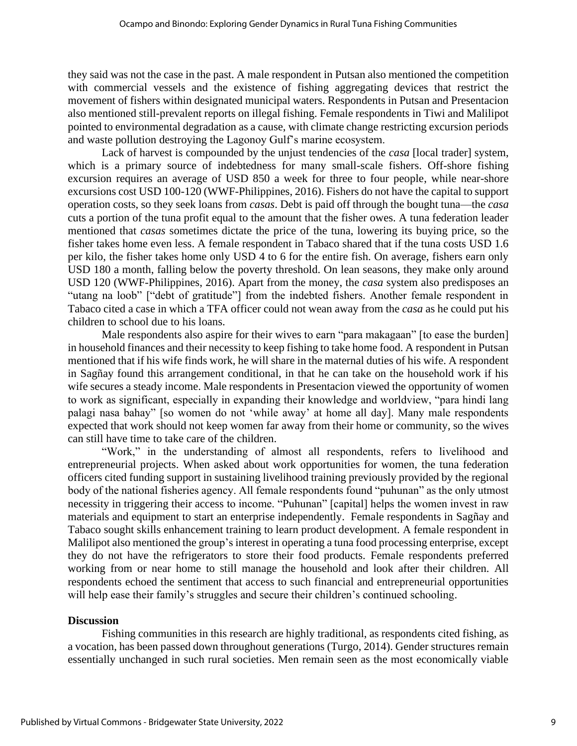they said was not the case in the past. A male respondent in Putsan also mentioned the competition with commercial vessels and the existence of fishing aggregating devices that restrict the movement of fishers within designated municipal waters. Respondents in Putsan and Presentacion also mentioned still-prevalent reports on illegal fishing. Female respondents in Tiwi and Malilipot pointed to environmental degradation as a cause, with climate change restricting excursion periods and waste pollution destroying the Lagonoy Gulf's marine ecosystem.

Lack of harvest is compounded by the unjust tendencies of the *casa* [local trader] system, which is a primary source of indebtedness for many small-scale fishers. Off-shore fishing excursion requires an average of USD 850 a week for three to four people, while near-shore excursions cost USD 100-120 (WWF-Philippines, 2016). Fishers do not have the capital to support operation costs, so they seek loans from *casas*. Debt is paid off through the bought tuna—the *casa*  cuts a portion of the tuna profit equal to the amount that the fisher owes. A tuna federation leader mentioned that *casas* sometimes dictate the price of the tuna, lowering its buying price, so the fisher takes home even less. A female respondent in Tabaco shared that if the tuna costs USD 1.6 per kilo, the fisher takes home only USD 4 to 6 for the entire fish. On average, fishers earn only USD 180 a month, falling below the poverty threshold. On lean seasons, they make only around USD 120 (WWF-Philippines, 2016). Apart from the money, the *casa* system also predisposes an "utang na loob" ["debt of gratitude"] from the indebted fishers. Another female respondent in Tabaco cited a case in which a TFA officer could not wean away from the *casa* as he could put his children to school due to his loans.

Male respondents also aspire for their wives to earn "para makagaan" [to ease the burden] in household finances and their necessity to keep fishing to take home food. A respondent in Putsan mentioned that if his wife finds work, he will share in the maternal duties of his wife. A respondent in Sagñay found this arrangement conditional, in that he can take on the household work if his wife secures a steady income. Male respondents in Presentacion viewed the opportunity of women to work as significant, especially in expanding their knowledge and worldview, "para hindi lang palagi nasa bahay" [so women do not 'while away' at home all day]. Many male respondents expected that work should not keep women far away from their home or community, so the wives can still have time to take care of the children.

"Work," in the understanding of almost all respondents, refers to livelihood and entrepreneurial projects. When asked about work opportunities for women, the tuna federation officers cited funding support in sustaining livelihood training previously provided by the regional body of the national fisheries agency. All female respondents found "puhunan" as the only utmost necessity in triggering their access to income. "Puhunan" [capital] helps the women invest in raw materials and equipment to start an enterprise independently. Female respondents in Sagñay and Tabaco sought skills enhancement training to learn product development. A female respondent in Malilipot also mentioned the group's interest in operating a tuna food processing enterprise, except they do not have the refrigerators to store their food products. Female respondents preferred working from or near home to still manage the household and look after their children. All respondents echoed the sentiment that access to such financial and entrepreneurial opportunities will help ease their family's struggles and secure their children's continued schooling.

# **Discussion**

Fishing communities in this research are highly traditional, as respondents cited fishing, as a vocation, has been passed down throughout generations (Turgo, 2014). Gender structures remain essentially unchanged in such rural societies. Men remain seen as the most economically viable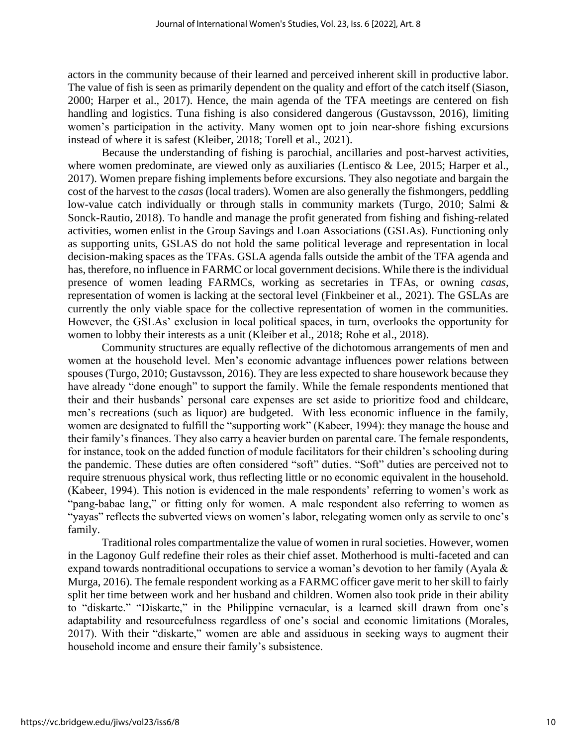actors in the community because of their learned and perceived inherent skill in productive labor. The value of fish is seen as primarily dependent on the quality and effort of the catch itself (Siason, 2000; Harper et al., 2017). Hence, the main agenda of the TFA meetings are centered on fish handling and logistics. Tuna fishing is also considered dangerous (Gustavsson, 2016), limiting women's participation in the activity. Many women opt to join near-shore fishing excursions instead of where it is safest (Kleiber, 2018; Torell et al., 2021).

Because the understanding of fishing is parochial, ancillaries and post-harvest activities, where women predominate, are viewed only as auxiliaries (Lentisco & Lee, 2015; Harper et al., 2017). Women prepare fishing implements before excursions. They also negotiate and bargain the cost of the harvest to the *casas* (local traders). Women are also generally the fishmongers, peddling low-value catch individually or through stalls in community markets (Turgo, 2010; Salmi & Sonck-Rautio, 2018). To handle and manage the profit generated from fishing and fishing-related activities, women enlist in the Group Savings and Loan Associations (GSLAs). Functioning only as supporting units, GSLAS do not hold the same political leverage and representation in local decision-making spaces as the TFAs. GSLA agenda falls outside the ambit of the TFA agenda and has, therefore, no influence in FARMC or local government decisions. While there is the individual presence of women leading FARMCs, working as secretaries in TFAs, or owning *casas*, representation of women is lacking at the sectoral level (Finkbeiner et al., 2021). The GSLAs are currently the only viable space for the collective representation of women in the communities. However, the GSLAs' exclusion in local political spaces, in turn, overlooks the opportunity for women to lobby their interests as a unit (Kleiber et al., 2018; Rohe et al., 2018).

Community structures are equally reflective of the dichotomous arrangements of men and women at the household level. Men's economic advantage influences power relations between spouses (Turgo, 2010; Gustavsson, 2016). They are less expected to share housework because they have already "done enough" to support the family. While the female respondents mentioned that their and their husbands' personal care expenses are set aside to prioritize food and childcare, men's recreations (such as liquor) are budgeted. With less economic influence in the family, women are designated to fulfill the "supporting work" (Kabeer, 1994): they manage the house and their family's finances. They also carry a heavier burden on parental care. The female respondents, for instance, took on the added function of module facilitators for their children's schooling during the pandemic. These duties are often considered "soft" duties. "Soft" duties are perceived not to require strenuous physical work, thus reflecting little or no economic equivalent in the household. (Kabeer, 1994). This notion is evidenced in the male respondents' referring to women's work as "pang-babae lang," or fitting only for women. A male respondent also referring to women as "yayas" reflects the subverted views on women's labor, relegating women only as servile to one's family.

Traditional roles compartmentalize the value of women in rural societies. However, women in the Lagonoy Gulf redefine their roles as their chief asset. Motherhood is multi-faceted and can expand towards nontraditional occupations to service a woman's devotion to her family (Ayala & Murga, 2016). The female respondent working as a FARMC officer gave merit to her skill to fairly split her time between work and her husband and children. Women also took pride in their ability to "diskarte." "Diskarte," in the Philippine vernacular, is a learned skill drawn from one's adaptability and resourcefulness regardless of one's social and economic limitations (Morales, 2017). With their "diskarte," women are able and assiduous in seeking ways to augment their household income and ensure their family's subsistence.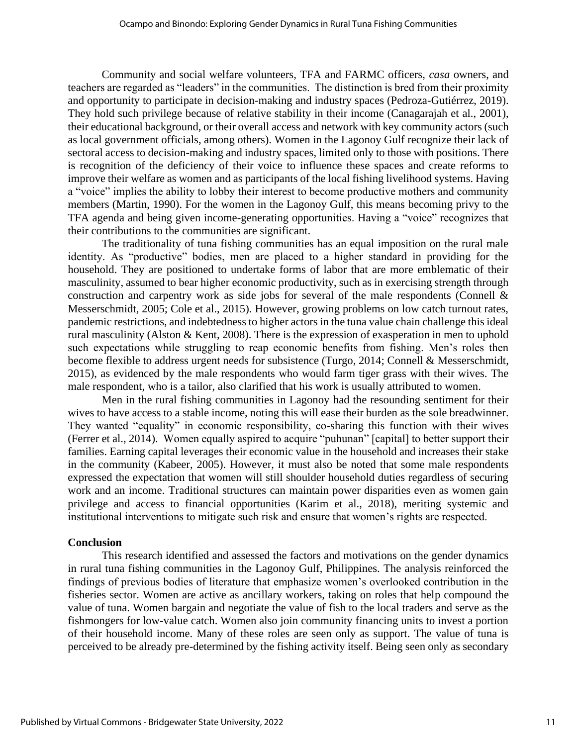Community and social welfare volunteers, TFA and FARMC officers, *casa* owners, and teachers are regarded as "leaders" in the communities. The distinction is bred from their proximity and opportunity to participate in decision-making and industry spaces (Pedroza-Gutiérrez, 2019). They hold such privilege because of relative stability in their income (Canagarajah et al., 2001), their educational background, or their overall access and network with key community actors (such as local government officials, among others). Women in the Lagonoy Gulf recognize their lack of sectoral access to decision-making and industry spaces, limited only to those with positions. There is recognition of the deficiency of their voice to influence these spaces and create reforms to improve their welfare as women and as participants of the local fishing livelihood systems. Having a "voice" implies the ability to lobby their interest to become productive mothers and community members (Martin, 1990). For the women in the Lagonoy Gulf, this means becoming privy to the TFA agenda and being given income-generating opportunities. Having a "voice" recognizes that their contributions to the communities are significant.

The traditionality of tuna fishing communities has an equal imposition on the rural male identity. As "productive" bodies, men are placed to a higher standard in providing for the household. They are positioned to undertake forms of labor that are more emblematic of their masculinity, assumed to bear higher economic productivity, such as in exercising strength through construction and carpentry work as side jobs for several of the male respondents (Connell & Messerschmidt, 2005; Cole et al., 2015). However, growing problems on low catch turnout rates, pandemic restrictions, and indebtedness to higher actors in the tuna value chain challenge this ideal rural masculinity (Alston & Kent, 2008). There is the expression of exasperation in men to uphold such expectations while struggling to reap economic benefits from fishing. Men's roles then become flexible to address urgent needs for subsistence (Turgo, 2014; Connell & Messerschmidt, 2015), as evidenced by the male respondents who would farm tiger grass with their wives. The male respondent, who is a tailor, also clarified that his work is usually attributed to women.

Men in the rural fishing communities in Lagonoy had the resounding sentiment for their wives to have access to a stable income, noting this will ease their burden as the sole breadwinner. They wanted "equality" in economic responsibility, co-sharing this function with their wives (Ferrer et al., 2014). Women equally aspired to acquire "puhunan" [capital] to better support their families. Earning capital leverages their economic value in the household and increases their stake in the community (Kabeer, 2005). However, it must also be noted that some male respondents expressed the expectation that women will still shoulder household duties regardless of securing work and an income. Traditional structures can maintain power disparities even as women gain privilege and access to financial opportunities (Karim et al., 2018), meriting systemic and institutional interventions to mitigate such risk and ensure that women's rights are respected.

#### **Conclusion**

This research identified and assessed the factors and motivations on the gender dynamics in rural tuna fishing communities in the Lagonoy Gulf, Philippines. The analysis reinforced the findings of previous bodies of literature that emphasize women's overlooked contribution in the fisheries sector. Women are active as ancillary workers, taking on roles that help compound the value of tuna. Women bargain and negotiate the value of fish to the local traders and serve as the fishmongers for low-value catch. Women also join community financing units to invest a portion of their household income. Many of these roles are seen only as support. The value of tuna is perceived to be already pre-determined by the fishing activity itself. Being seen only as secondary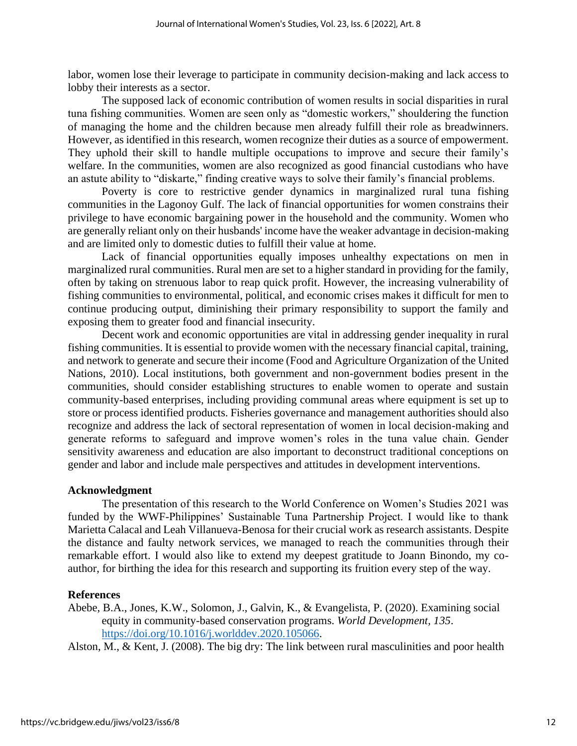labor, women lose their leverage to participate in community decision-making and lack access to lobby their interests as a sector.

The supposed lack of economic contribution of women results in social disparities in rural tuna fishing communities. Women are seen only as "domestic workers," shouldering the function of managing the home and the children because men already fulfill their role as breadwinners. However, as identified in this research, women recognize their duties as a source of empowerment. They uphold their skill to handle multiple occupations to improve and secure their family's welfare. In the communities, women are also recognized as good financial custodians who have an astute ability to "diskarte," finding creative ways to solve their family's financial problems.

Poverty is core to restrictive gender dynamics in marginalized rural tuna fishing communities in the Lagonoy Gulf. The lack of financial opportunities for women constrains their privilege to have economic bargaining power in the household and the community. Women who are generally reliant only on their husbands' income have the weaker advantage in decision-making and are limited only to domestic duties to fulfill their value at home.

Lack of financial opportunities equally imposes unhealthy expectations on men in marginalized rural communities. Rural men are set to a higher standard in providing for the family, often by taking on strenuous labor to reap quick profit. However, the increasing vulnerability of fishing communities to environmental, political, and economic crises makes it difficult for men to continue producing output, diminishing their primary responsibility to support the family and exposing them to greater food and financial insecurity.

Decent work and economic opportunities are vital in addressing gender inequality in rural fishing communities. It is essential to provide women with the necessary financial capital, training, and network to generate and secure their income (Food and Agriculture Organization of the United Nations, 2010). Local institutions, both government and non-government bodies present in the communities, should consider establishing structures to enable women to operate and sustain community-based enterprises, including providing communal areas where equipment is set up to store or process identified products. Fisheries governance and management authorities should also recognize and address the lack of sectoral representation of women in local decision-making and generate reforms to safeguard and improve women's roles in the tuna value chain. Gender sensitivity awareness and education are also important to deconstruct traditional conceptions on gender and labor and include male perspectives and attitudes in development interventions.

#### **Acknowledgment**

The presentation of this research to the World Conference on Women's Studies 2021 was funded by the WWF-Philippines' Sustainable Tuna Partnership Project. I would like to thank Marietta Calacal and Leah Villanueva-Benosa for their crucial work as research assistants. Despite the distance and faulty network services, we managed to reach the communities through their remarkable effort. I would also like to extend my deepest gratitude to Joann Binondo, my coauthor, for birthing the idea for this research and supporting its fruition every step of the way.

#### **References**

Abebe, B.A., Jones, K.W., Solomon, J., Galvin, K., & Evangelista, P. (2020). Examining social equity in community-based conservation programs. *World Development, 135*. [https://doi.org/10.1016/j.worlddev.2020.105066.](https://doi.org/10.1016/j.worlddev.2020.105066)

Alston, M., & Kent, J. (2008). The big dry: The link between rural masculinities and poor health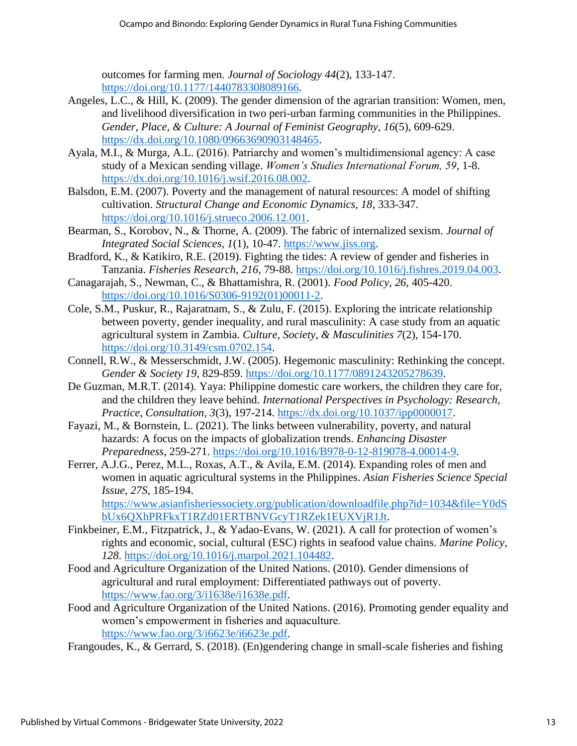outcomes for farming men. *Journal of Sociology 44*(2), 133-147. [https://doi.org/10.1177/1440783308089166.](https://doi.org/10.1177/1440783308089166)

- Angeles, L.C., & Hill, K. (2009). The gender dimension of the agrarian transition: Women, men, and livelihood diversification in two peri-urban farming communities in the Philippines. *Gender, Place, & Culture: A Journal of Feminist Geography, 16*(5), 609-629. [https://dx.doi.org/10.1080/09663690903148465.](https://dx.doi.org/10.1080/09663690903148465)
- Ayala, M.I., & Murga, A.L. (2016). Patriarchy and women's multidimensional agency: A case study of a Mexican sending village. *Women's Studies International Forum, 59*, 1-8. [https://dx.doi.org/10.1016/j.wsif.2016.08.002.](https://dx.doi.org/10.1016/j.wsif.2016.08.002)
- Balsdon, E.M. (2007). Poverty and the management of natural resources: A model of shifting cultivation. *Structural Change and Economic Dynamics, 18*, 333-347. [https://doi.org/10.1016/j.strueco.2006.12.001.](https://doi.org/10.1016/j.strueco.2006.12.001)
- Bearman, S., Korobov, N., & Thorne, A. (2009). The fabric of internalized sexism. *Journal of Integrated Social Sciences, 1*(1), 10-47. [https://www.jiss.org.](https://www.jiss.org/)
- Bradford, K., & Katikiro, R.E. (2019). Fighting the tides: A review of gender and fisheries in Tanzania. *Fisheries Research, 216*, 79-88. [https://doi.org/10.1016/j.fishres.2019.04.003.](https://doi.org/10.1016/j.fishres.2019.04.003)
- Canagarajah, S., Newman, C., & Bhattamishra, R. (2001). *Food Policy, 26*, 405-420. [https://doi.org/10.1016/S0306-9192\(01\)00011-2.](https://doi.org/10.1016/S0306-9192(01)00011-2)
- Cole, S.M., Puskur, R., Rajaratnam, S., & Zulu, F. (2015). Exploring the intricate relationship between poverty, gender inequality, and rural masculinity: A case study from an aquatic agricultural system in Zambia. *Culture, Society, & Masculinities 7*(2), 154-170. [https://doi.org/10.3149/csm.0702.154.](https://doi.org/10.3149/csm.0702.154)
- Connell, R.W., & Messerschmidt, J.W. (2005). Hegemonic masculinity: Rethinking the concept. *Gender & Society 19*, 829-859. [https://doi.org/10.1177/0891243205278639.](https://doi.org/10.1177/0891243205278639)
- De Guzman, M.R.T. (2014). Yaya: Philippine domestic care workers, the children they care for, and the children they leave behind. *International Perspectives in Psychology: Research, Practice, Consultation, 3*(3), 197-214. [https://dx.doi.org/10.1037/ipp0000017.](https://dx.doi.org/10.1037/ipp0000017)
- Fayazi, M., & Bornstein, L. (2021). The links between vulnerability, poverty, and natural hazards: A focus on the impacts of globalization trends. *Enhancing Disaster Preparedness*, 259-271. [https://doi.org/10.1016/B978-0-12-819078-4.00014-9.](https://doi.org/10.1016/B978-0-12-819078-4.00014-9)
- Ferrer, A.J.G., Perez, M.L., Roxas, A.T., & Avila, E.M. (2014). Expanding roles of men and women in aquatic agricultural systems in the Philippines. *Asian Fisheries Science Special Issue, 27S*, 185-194. [https://www.asianfisheriessociety.org/publication/downloadfile.php?id=1034&file=Y0dS](https://www.asianfisheriessociety.org/publication/downloadfile.php?id=1034&file=Y0dSbUx6QXhPRFkxT1RZd01ERTBNVGcyT1RZek1EUXVjR1Jt)

[bUx6QXhPRFkxT1RZd01ERTBNVGcyT1RZek1EUXVjR1Jt.](https://www.asianfisheriessociety.org/publication/downloadfile.php?id=1034&file=Y0dSbUx6QXhPRFkxT1RZd01ERTBNVGcyT1RZek1EUXVjR1Jt)

- Finkbeiner, E.M., Fitzpatrick, J., & Yadao-Evans, W. (2021). A call for protection of women's rights and economic, social, cultural (ESC) rights in seafood value chains. *Marine Policy, 128*. [https://doi.org/10.1016/j.marpol.2021.104482.](https://doi.org/10.1016/j.marpol.2021.104482)
- Food and Agriculture Organization of the United Nations. (2010). Gender dimensions of agricultural and rural employment: Differentiated pathways out of poverty. [https://www.fao.org/3/i1638e/i1638e.pdf.](https://www.fao.org/3/i1638e/i1638e.pdf)
- Food and Agriculture Organization of the United Nations. (2016). Promoting gender equality and women's empowerment in fisheries and aquaculture. [https://www.fao.org/3/i6623e/i6623e.pdf.](https://www.fao.org/3/i6623e/i6623e.pdf)

Frangoudes, K., & Gerrard, S. (2018). (En)gendering change in small-scale fisheries and fishing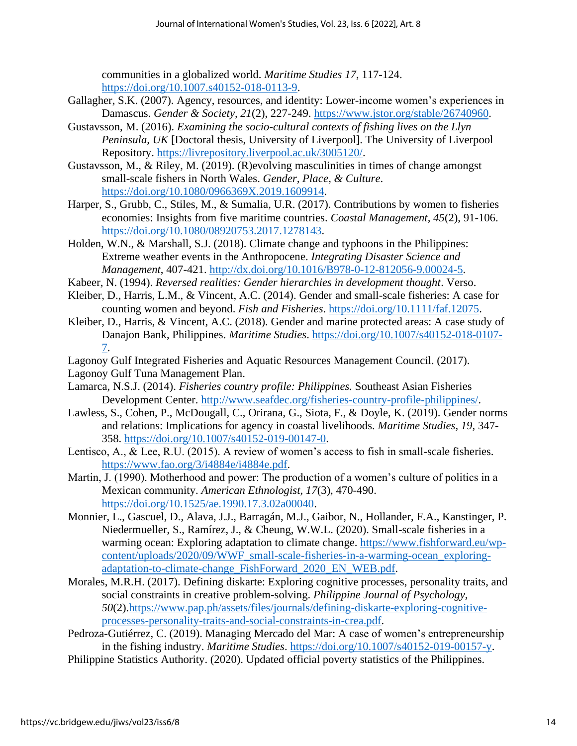communities in a globalized world. *Maritime Studies 17*, 117-124. [https://doi.org/10.1007.s40152-018-0113-9.](https://doi.org/10.1007.s40152-018-0113-9)

- Gallagher, S.K. (2007). Agency, resources, and identity: Lower-income women's experiences in Damascus. *Gender & Society, 21*(2), 227-249. [https://www.jstor.org/stable/26740960.](https://www.jstor.org/stable/26740960)
- Gustavsson, M. (2016). *Examining the socio-cultural contexts of fishing lives on the Llyn Peninsula, UK* [Doctoral thesis, University of Liverpool]. The University of Liverpool Repository. [https://livrepository.liverpool.ac.uk/3005120/.](https://livrepository.liverpool.ac.uk/3005120/)
- Gustavsson, M., & Riley, M. (2019). (R)evolving masculinities in times of change amongst small-scale fishers in North Wales. *Gender, Place, & Culture*. [https://doi.org/10.1080/0966369X.2019.1609914.](https://doi.org/10.1080/0966369X.2019.1609914)
- Harper, S., Grubb, C., Stiles, M., & Sumalia, U.R. (2017). Contributions by women to fisheries economies: Insights from five maritime countries. *Coastal Management, 45*(2), 91-106. [https://doi.org/10.1080/08920753.2017.1278143.](https://doi.org/10.1080/08920753.2017.1278143)
- Holden, W.N., & Marshall, S.J. (2018). Climate change and typhoons in the Philippines: Extreme weather events in the Anthropocene. *Integrating Disaster Science and Management*, 407-421. [http://dx.doi.org/10.1016/B978-0-12-812056-9.00024-5.](http://dx.doi.org/10.1016/B978-0-12-812056-9.00024-5)
- Kabeer, N. (1994). *Reversed realities: Gender hierarchies in development thought*. Verso.
- Kleiber, D., Harris, L.M., & Vincent, A.C. (2014). Gender and small-scale fisheries: A case for counting women and beyond. *Fish and Fisheries*. [https://doi.org/10.1111/faf.12075.](https://doi.org/10.1111/faf.12075)
- Kleiber, D., Harris, & Vincent, A.C. (2018). Gender and marine protected areas: A case study of Danajon Bank, Philippines. *Maritime Studies*. [https://doi.org/10.1007/s40152-018-0107-](https://doi.org/10.1007/s40152-018-0107-7) [7.](https://doi.org/10.1007/s40152-018-0107-7)
- Lagonoy Gulf Integrated Fisheries and Aquatic Resources Management Council. (2017).
- Lagonoy Gulf Tuna Management Plan.
- Lamarca, N.S.J. (2014). *Fisheries country profile: Philippines.* Southeast Asian Fisheries Development Center. [http://www.seafdec.org/fisheries-country-profile-philippines/.](http://www.seafdec.org/fisheries-country-profile-philippines/)
- Lawless, S., Cohen, P., McDougall, C., Orirana, G., Siota, F., & Doyle, K. (2019). Gender norms and relations: Implications for agency in coastal livelihoods. *Maritime Studies, 19*, 347- 358. [https://doi.org/10.1007/s40152-019-00147-0.](https://doi.org/10.1007/s40152-019-00147-0)
- Lentisco, A., & Lee, R.U. (2015). A review of women's access to fish in small-scale fisheries. [https://www.fao.org/3/i4884e/i4884e.pdf.](https://www.fao.org/3/i4884e/i4884e.pdf)
- Martin, J. (1990). Motherhood and power: The production of a women's culture of politics in a Mexican community. *American Ethnologist, 17*(3), 470-490. [https://doi.org/10.1525/ae.1990.17.3.02a00040.](https://doi.org/10.1525/ae.1990.17.3.02a00040)
- Monnier, L., Gascuel, D., Alava, J.J., Barragán, M.J., Gaibor, N., Hollander, F.A., Kanstinger, P. Niedermueller, S., Ramírez, J., & Cheung, W.W.L. (2020). Small-scale fisheries in a warming ocean: Exploring adaptation to climate change. [https://www.fishforward.eu/wp](https://www.fishforward.eu/wp-content/uploads/2020/09/WWF_small-scale-fisheries-in-a-warming-ocean_exploring-adaptation-to-climate-change_FishForward_2020_EN_WEB.pdf)[content/uploads/2020/09/WWF\\_small-scale-fisheries-in-a-warming-ocean\\_exploring](https://www.fishforward.eu/wp-content/uploads/2020/09/WWF_small-scale-fisheries-in-a-warming-ocean_exploring-adaptation-to-climate-change_FishForward_2020_EN_WEB.pdf)[adaptation-to-climate-change\\_FishForward\\_2020\\_EN\\_WEB.pdf.](https://www.fishforward.eu/wp-content/uploads/2020/09/WWF_small-scale-fisheries-in-a-warming-ocean_exploring-adaptation-to-climate-change_FishForward_2020_EN_WEB.pdf)
- Morales, M.R.H. (2017). Defining diskarte: Exploring cognitive processes, personality traits, and social constraints in creative problem-solving. *Philippine Journal of Psychology, 50*(2)[.https://www.pap.ph/assets/files/journals/defining-diskarte-exploring-cognitive](https://www.pap.ph/assets/files/journals/defining-diskarte-exploring-cognitive-processes-personality-traits-and-social-constraints-in-crea.pdf)[processes-personality-traits-and-social-constraints-in-crea.pdf.](https://www.pap.ph/assets/files/journals/defining-diskarte-exploring-cognitive-processes-personality-traits-and-social-constraints-in-crea.pdf)
- Pedroza-Gutiérrez, C. (2019). Managing Mercado del Mar: A case of women's entrepreneurship in the fishing industry. *Maritime Studies*. [https://doi.org/10.1007/s40152-019-00157-y.](https://doi.org/10.1007/s40152-019-00157-y)
- Philippine Statistics Authority. (2020). Updated official poverty statistics of the Philippines.